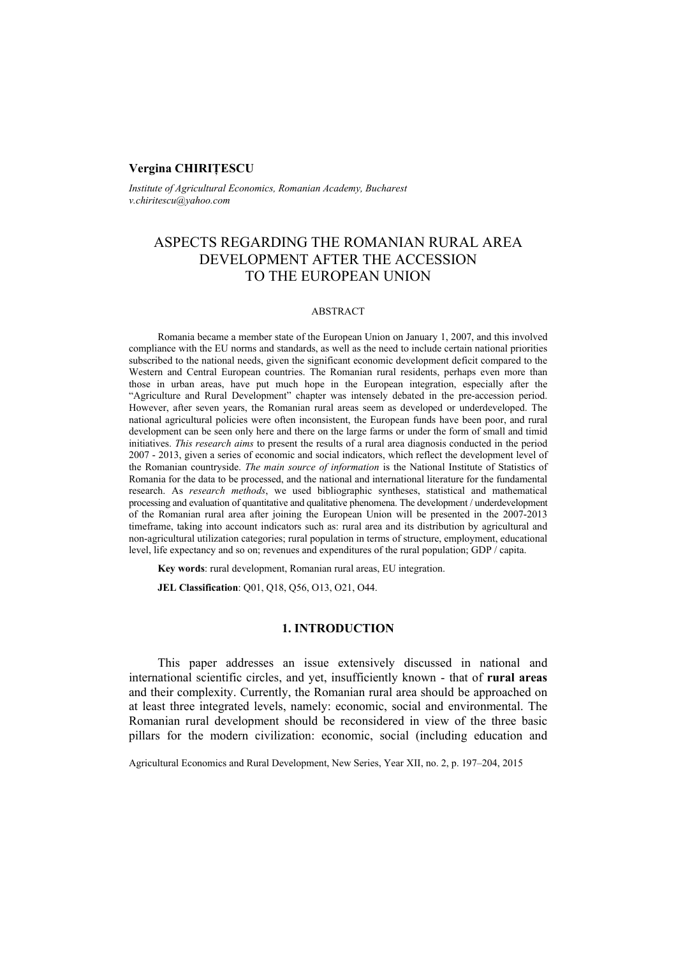### **Vergina CHIRIŢESCU**

*Institute of Agricultural Economics, Romanian Academy, Bucharest v.chiritescu@yahoo.com* 

# ASPECTS REGARDING THE ROMANIAN RURAL AREA DEVELOPMENT AFTER THE ACCESSION TO THE EUROPEAN UNION

#### ABSTRACT

Romania became a member state of the European Union on January 1, 2007, and this involved compliance with the EU norms and standards, as well as the need to include certain national priorities subscribed to the national needs, given the significant economic development deficit compared to the Western and Central European countries. The Romanian rural residents, perhaps even more than those in urban areas, have put much hope in the European integration, especially after the "Agriculture and Rural Development" chapter was intensely debated in the pre-accession period. However, after seven years, the Romanian rural areas seem as developed or underdeveloped. The national agricultural policies were often inconsistent, the European funds have been poor, and rural development can be seen only here and there on the large farms or under the form of small and timid initiatives. *This research aims* to present the results of a rural area diagnosis conducted in the period 2007 - 2013, given a series of economic and social indicators, which reflect the development level of the Romanian countryside. *The main source of information* is the National Institute of Statistics of Romania for the data to be processed, and the national and international literature for the fundamental research. As *research methods*, we used bibliographic syntheses, statistical and mathematical processing and evaluation of quantitative and qualitative phenomena. The development / underdevelopment of the Romanian rural area after joining the European Union will be presented in the 2007-2013 timeframe, taking into account indicators such as: rural area and its distribution by agricultural and non-agricultural utilization categories; rural population in terms of structure, employment, educational level, life expectancy and so on; revenues and expenditures of the rural population; GDP / capita.

**Key words**: rural development, Romanian rural areas, EU integration.

**JEL Classification**: Q01, Q18, Q56, O13, O21, O44.

### **1. INTRODUCTION**

This paper addresses an issue extensively discussed in national and international scientific circles, and yet, insufficiently known - that of **rural areas** and their complexity. Currently, the Romanian rural area should be approached on at least three integrated levels, namely: economic, social and environmental. The Romanian rural development should be reconsidered in view of the three basic pillars for the modern civilization: economic, social (including education and

Agricultural Economics and Rural Development, New Series, Year XII, no. 2, p. 197–204, 2015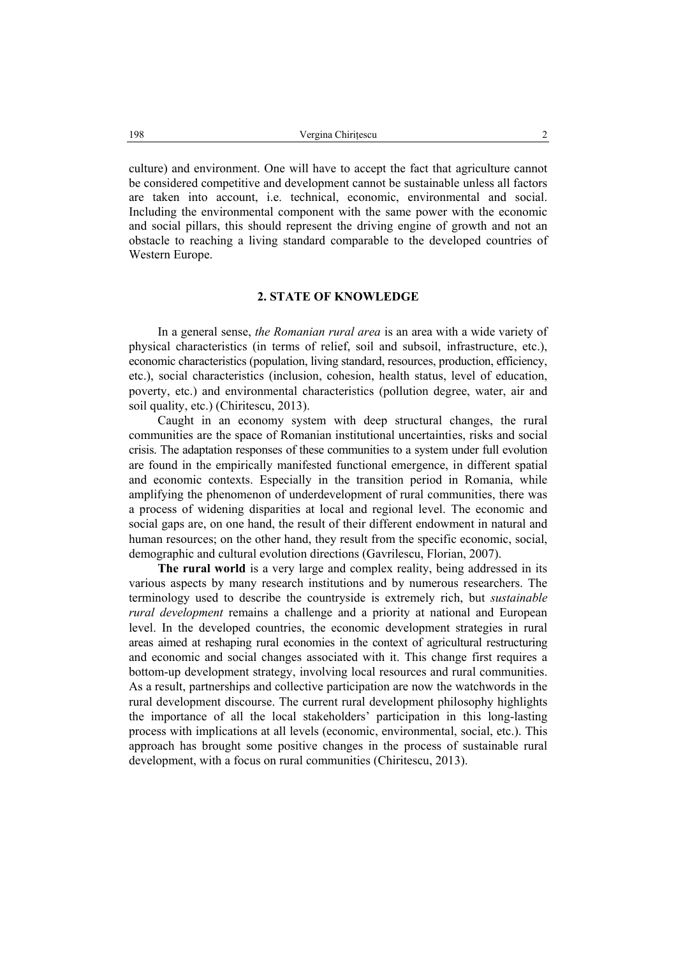culture) and environment. One will have to accept the fact that agriculture cannot be considered competitive and development cannot be sustainable unless all factors are taken into account, i.e. technical, economic, environmental and social. Including the environmental component with the same power with the economic and social pillars, this should represent the driving engine of growth and not an obstacle to reaching a living standard comparable to the developed countries of Western Europe.

### **2. STATE OF KNOWLEDGE**

In a general sense, *the Romanian rural area* is an area with a wide variety of physical characteristics (in terms of relief, soil and subsoil, infrastructure, etc.), economic characteristics (population, living standard, resources, production, efficiency, etc.), social characteristics (inclusion, cohesion, health status, level of education, poverty, etc.) and environmental characteristics (pollution degree, water, air and soil quality, etc.) (Chiritescu, 2013).

Caught in an economy system with deep structural changes, the rural communities are the space of Romanian institutional uncertainties, risks and social crisis. The adaptation responses of these communities to a system under full evolution are found in the empirically manifested functional emergence, in different spatial and economic contexts. Especially in the transition period in Romania, while amplifying the phenomenon of underdevelopment of rural communities, there was a process of widening disparities at local and regional level. The economic and social gaps are, on one hand, the result of their different endowment in natural and human resources; on the other hand, they result from the specific economic, social, demographic and cultural evolution directions (Gavrilescu, Florian, 2007).

**The rural world** is a very large and complex reality, being addressed in its various aspects by many research institutions and by numerous researchers. The terminology used to describe the countryside is extremely rich, but *sustainable rural development* remains a challenge and a priority at national and European level. In the developed countries, the economic development strategies in rural areas aimed at reshaping rural economies in the context of agricultural restructuring and economic and social changes associated with it. This change first requires a bottom-up development strategy, involving local resources and rural communities. As a result, partnerships and collective participation are now the watchwords in the rural development discourse. The current rural development philosophy highlights the importance of all the local stakeholders' participation in this long-lasting process with implications at all levels (economic, environmental, social, etc.). This approach has brought some positive changes in the process of sustainable rural development, with a focus on rural communities (Chiritescu, 2013).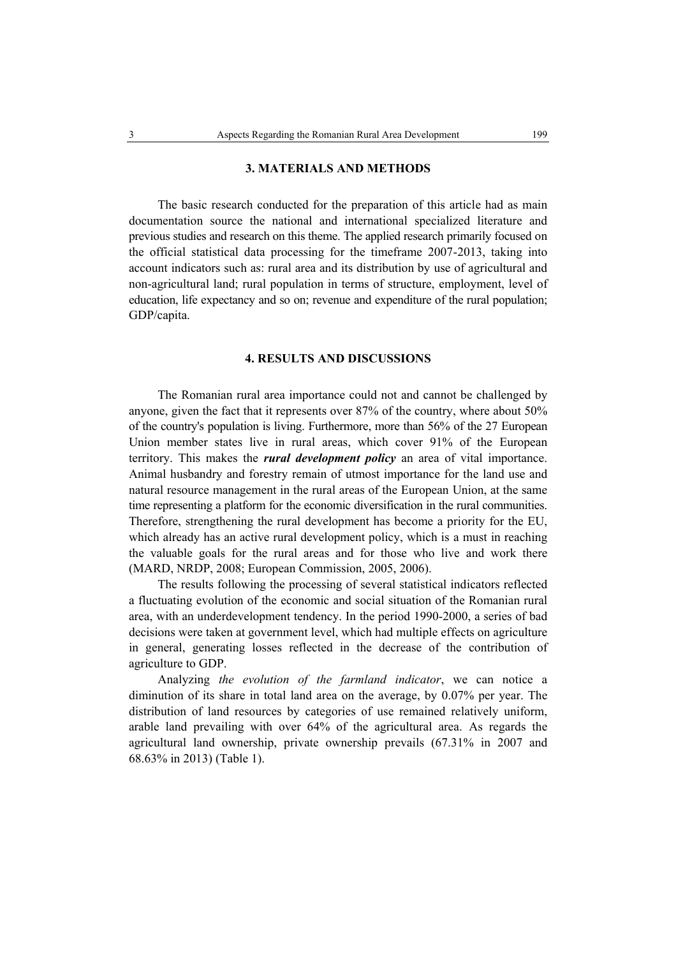# **3. MATERIALS AND METHODS**

The basic research conducted for the preparation of this article had as main documentation source the national and international specialized literature and previous studies and research on this theme. The applied research primarily focused on the official statistical data processing for the timeframe 2007-2013, taking into account indicators such as: rural area and its distribution by use of agricultural and non-agricultural land; rural population in terms of structure, employment, level of education, life expectancy and so on; revenue and expenditure of the rural population; GDP/capita.

# **4. RESULTS AND DISCUSSIONS**

The Romanian rural area importance could not and cannot be challenged by anyone, given the fact that it represents over 87% of the country, where about 50% of the country's population is living. Furthermore, more than 56% of the 27 European Union member states live in rural areas, which cover 91% of the European territory. This makes the *rural development policy* an area of vital importance. Animal husbandry and forestry remain of utmost importance for the land use and natural resource management in the rural areas of the European Union, at the same time representing a platform for the economic diversification in the rural communities. Therefore, strengthening the rural development has become a priority for the EU, which already has an active rural development policy, which is a must in reaching the valuable goals for the rural areas and for those who live and work there (MARD, NRDP, 2008; European Commission, 2005, 2006).

The results following the processing of several statistical indicators reflected a fluctuating evolution of the economic and social situation of the Romanian rural area, with an underdevelopment tendency. In the period 1990-2000, a series of bad decisions were taken at government level, which had multiple effects on agriculture in general, generating losses reflected in the decrease of the contribution of agriculture to GDP.

Analyzing *the evolution of the farmland indicator*, we can notice a diminution of its share in total land area on the average, by 0.07% per year. The distribution of land resources by categories of use remained relatively uniform, arable land prevailing with over 64% of the agricultural area. As regards the agricultural land ownership, private ownership prevails (67.31% in 2007 and 68.63% in 2013) (Table 1).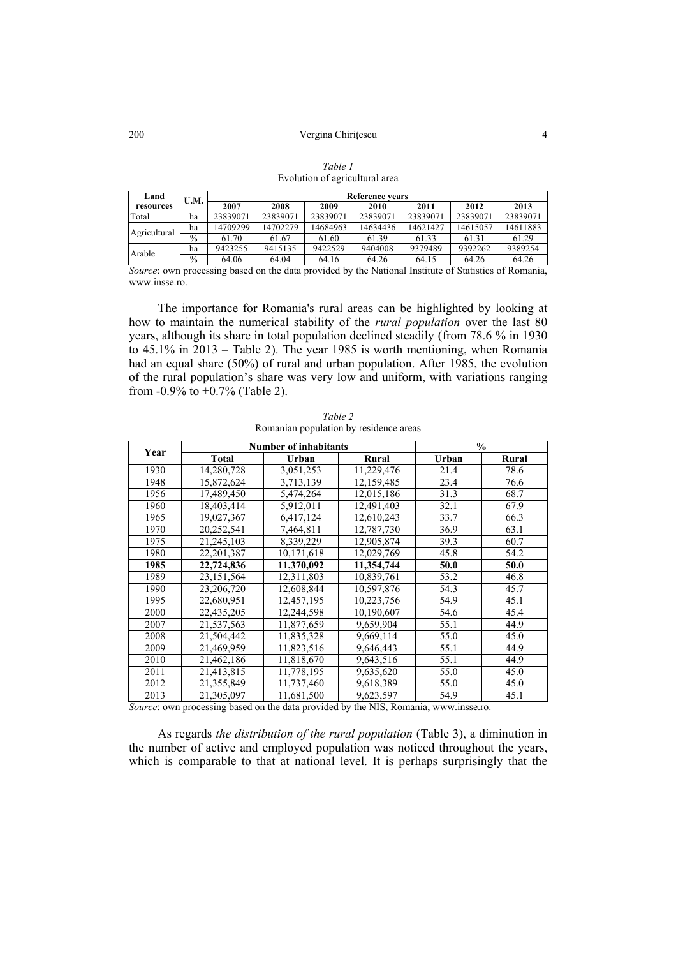| Land         | U.M.          |          | Reference years |          |          |          |          |          |  |  |  |  |
|--------------|---------------|----------|-----------------|----------|----------|----------|----------|----------|--|--|--|--|
| resources    |               | 2007     | 2008            | 2009     | 2010     | 2011     | 2012     | 2013     |  |  |  |  |
| Total        | ha            | 23839071 | 23839071        | 23839071 | 23839071 | 23839071 | 23839071 | 23839071 |  |  |  |  |
| Agricultural | ha            | 14709299 | 14702279        | 14684963 | 14634436 | 14621427 | 14615057 | 14611883 |  |  |  |  |
|              | $\frac{0}{0}$ | 61.70    | 61.67           | 61.60    | 61.39    | 61.33    | 61.31    | 61.29    |  |  |  |  |
| Arable       | ha            | 9423255  | 9415135         | 9422529  | 9404008  | 9379489  | 9392262  | 9389254  |  |  |  |  |
|              | $\frac{0}{0}$ | 64.06    | 64.04           | 64.16    | 64.26    | 64.15    | 64.26    | 64.26    |  |  |  |  |

| Table 1                        |
|--------------------------------|
| Evolution of agricultural area |

*Source*: own processing based on the data provided by the National Institute of Statistics of Romania, www.insse.ro.

The importance for Romania's rural areas can be highlighted by looking at how to maintain the numerical stability of the *rural population* over the last 80 years, although its share in total population declined steadily (from 78.6 % in 1930 to 45.1% in 2013 – Table 2). The year 1985 is worth mentioning, when Romania had an equal share (50%) of rural and urban population. After 1985, the evolution of the rural population's share was very low and uniform, with variations ranging from -0.9% to +0.7% (Table 2).

| Year |              | <b>Number of inhabitants</b> |            | $\frac{0}{0}$ |       |
|------|--------------|------------------------------|------------|---------------|-------|
|      | <b>Total</b> | Urban                        | Rural      | Urban         | Rural |
| 1930 | 14,280,728   | 3,051,253                    | 11,229,476 | 21.4          | 78.6  |
| 1948 | 15,872,624   | 3,713,139                    | 12,159,485 | 23.4          | 76.6  |
| 1956 | 17,489,450   | 5,474,264                    | 12,015,186 | 31.3          | 68.7  |
| 1960 | 18,403,414   | 5,912,011                    | 12,491,403 | 32.1          | 67.9  |
| 1965 | 19,027,367   | 6,417,124                    | 12,610,243 | 33.7          | 66.3  |
| 1970 | 20,252,541   | 7,464,811                    | 12,787,730 | 36.9          | 63.1  |
| 1975 | 21,245,103   | 8,339,229                    | 12,905,874 | 39.3          | 60.7  |
| 1980 | 22, 201, 387 | 10,171,618                   | 12,029,769 | 45.8          | 54.2  |
| 1985 | 22,724,836   | 11,370,092                   | 11.354.744 | 50.0          | 50.0  |
| 1989 | 23, 151, 564 | 12,311,803                   | 10,839,761 | 53.2          | 46.8  |
| 1990 | 23,206,720   | 12,608,844                   | 10,597,876 | 54.3          | 45.7  |
| 1995 | 22,680,951   | 12,457,195                   | 10,223,756 | 54.9          | 45.1  |
| 2000 | 22,435,205   | 12,244,598                   | 10,190,607 | 54.6          | 45.4  |
| 2007 | 21,537,563   | 11,877,659                   | 9,659,904  | 55.1          | 44.9  |
| 2008 | 21,504,442   | $\overline{11,835,328}$      | 9,669,114  | 55.0          | 45.0  |
| 2009 | 21,469,959   | 11,823,516                   | 9,646,443  | 55.1          | 44.9  |
| 2010 | 21,462,186   | 11,818,670                   | 9,643,516  | 55.1          | 44.9  |
| 2011 | 21,413,815   | 11,778,195                   | 9,635,620  | 55.0          | 45.0  |
| 2012 | 21,355,849   | 11,737,460                   | 9,618,389  | 55.0          | 45.0  |
| 2013 | 21,305,097   | $\overline{11,681,500}$      | 9,623,597  | 54.9          | 45.1  |

*Table 2*  Romanian population by residence areas

*Source*: own processing based on the data provided by the NIS, Romania, www.insse.ro.

As regards *the distribution of the rural population* (Table 3), a diminution in the number of active and employed population was noticed throughout the years, which is comparable to that at national level. It is perhaps surprisingly that the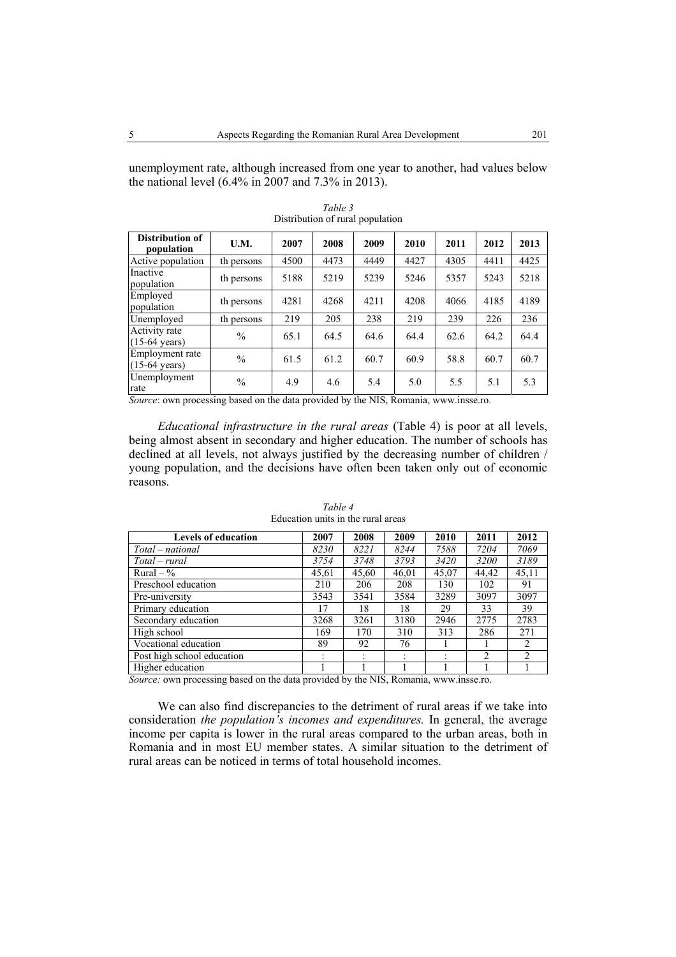unemployment rate, although increased from one year to another, had values below the national level (6.4% in 2007 and 7.3% in 2013).

| Distribution of<br>population                                                                                | U.M.          | 2007 | 2008 | 2009 | 2010 | 2011 | 2012 | 2013 |
|--------------------------------------------------------------------------------------------------------------|---------------|------|------|------|------|------|------|------|
| Active population                                                                                            | th persons    | 4500 | 4473 | 4449 | 4427 | 4305 | 4411 | 4425 |
| Inactive<br>population                                                                                       | th persons    | 5188 | 5219 | 5239 | 5246 | 5357 | 5243 | 5218 |
| Employed<br>population                                                                                       | th persons    | 4281 | 4268 | 4211 | 4208 | 4066 | 4185 | 4189 |
| Unemployed                                                                                                   | th persons    | 219  | 205  | 238  | 219  | 239  | 226  | 236  |
| Activity rate<br>$(15-64 \text{ years})$                                                                     | $\frac{0}{0}$ | 65.1 | 64.5 | 64.6 | 64.4 | 62.6 | 64.2 | 64.4 |
| Employment rate<br>$(15-64 \text{ years})$                                                                   | $\%$          | 61.5 | 61.2 | 60.7 | 60.9 | 58.8 | 60.7 | 60.7 |
| Unemployment<br>rate<br>Corners and massessing based on the data massided by the MIC. Demands, countries are | $\frac{0}{0}$ | 4.9  | 4.6  | 5.4  | 5.0  | 5.5  | 5.1  | 5.3  |

*Table 3*  Distribution of rural population

*Source*: own processing based on the data provided by the NIS, Romania, www.insse.ro.

*Educational infrastructure in the rural areas* (Table 4) is poor at all levels, being almost absent in secondary and higher education. The number of schools has declined at all levels, not always justified by the decreasing number of children / young population, and the decisions have often been taken only out of economic reasons.

| <b>Levels of education</b> | 2007   | 2008  | 2009  | 2010    | 2011        | 2012  |
|----------------------------|--------|-------|-------|---------|-------------|-------|
| Total – national           | 8230   | 8221  | 8244  | 7588    | 7204        | 7069  |
| Total – rural              | 3754   | 3748  | 3793  | 3420    | <i>3200</i> | 3189  |
| Rural $-$ %                | 45,61  | 45,60 | 46.01 | 45,07   | 44,42       | 45,11 |
| Preschool education        | 210    | 206   | 208   | 130     | 102         | 91    |
| Pre-university             | 3543   | 3541  | 3584  | 3289    | 3097        | 3097  |
| Primary education          | 17     | 18    | 18    | 29      | 33          | 39    |
| Secondary education        | 3268   | 3261  | 3180  | 2946    | 2775        | 2783  |
| High school                | 169    | 170   | 310   | 313     | 286         | 271   |
| Vocational education       | 89     | 92    | 76    |         |             | 2     |
| Post high school education | $\sim$ |       |       | $\cdot$ | 2           | 2     |
| Higher education           |        |       |       |         |             |       |

*Table 4*  Education units in the rural areas

*Source:* own processing based on the data provided by the NIS, Romania, www.insse.ro.

We can also find discrepancies to the detriment of rural areas if we take into consideration *the population's incomes and expenditures.* In general, the average income per capita is lower in the rural areas compared to the urban areas, both in Romania and in most EU member states. A similar situation to the detriment of rural areas can be noticed in terms of total household incomes.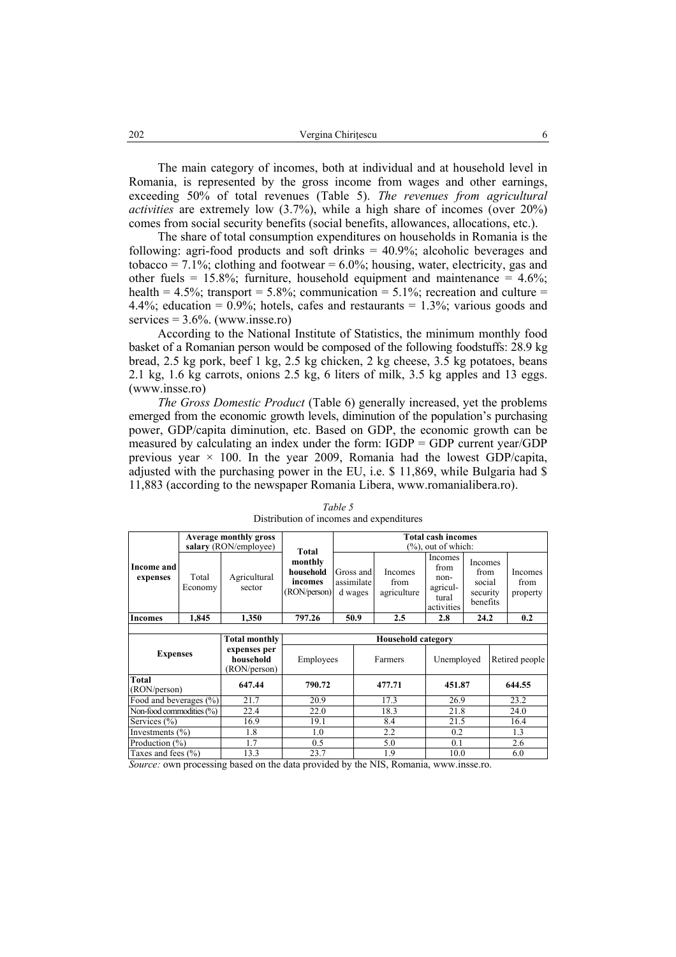The main category of incomes, both at individual and at household level in Romania, is represented by the gross income from wages and other earnings, exceeding 50% of total revenues (Table 5). *The revenues from agricultural activities* are extremely low (3.7%), while a high share of incomes (over 20%) comes from social security benefits (social benefits, allowances, allocations, etc.).

The share of total consumption expenditures on households in Romania is the following: agri-food products and soft drinks = 40.9%; alcoholic beverages and tobacco = 7.1%; clothing and footwear =  $6.0\%$ ; housing, water, electricity, gas and other fuels =  $15.8\%$ ; furniture, household equipment and maintenance =  $4.6\%$ ; health =  $4.5\%$ ; transport =  $5.8\%$ ; communication =  $5.1\%$ ; recreation and culture = 4.4%; education =  $0.9\%$ ; hotels, cafes and restaurants =  $1.3\%$ ; various goods and services  $= 3.6\%$ . (www.insse.ro)

According to the National Institute of Statistics, the minimum monthly food basket of a Romanian person would be composed of the following foodstuffs: 28.9 kg bread, 2.5 kg pork, beef 1 kg, 2.5 kg chicken, 2 kg cheese, 3.5 kg potatoes, beans 2.1 kg, 1.6 kg carrots, onions 2.5 kg, 6 liters of milk, 3.5 kg apples and 13 eggs. (www.insse.ro)

*The Gross Domestic Product* (Table 6) generally increased, yet the problems emerged from the economic growth levels, diminution of the population's purchasing power, GDP/capita diminution, etc. Based on GDP, the economic growth can be measured by calculating an index under the form: IGDP = GDP current year/GDP previous year  $\times$  100. In the year 2009, Romania had the lowest GDP/capita, adjusted with the purchasing power in the EU, i.e. \$ 11,869, while Bulgaria had \$ 11,883 (according to the newspaper Romania Libera, www.romanialibera.ro).

|                              |                  | <b>Average monthly gross</b><br>salary (RON/employee)             | Total                                           | <b>Total cash incomes</b><br>$(\%)$ , out of which: |                                      |                                                                                                                 |      |  |                                    |  |  |
|------------------------------|------------------|-------------------------------------------------------------------|-------------------------------------------------|-----------------------------------------------------|--------------------------------------|-----------------------------------------------------------------------------------------------------------------|------|--|------------------------------------|--|--|
| Income and<br>expenses       | Total<br>Economy | Agricultural<br>sector                                            | monthly<br>household<br>incomes<br>(RON/person) | Gross and<br>assimilate<br>d wages                  | Incomes<br>from<br>agriculture       | Incomes<br>Incomes<br>from<br>from<br>non-<br>social<br>agricul-<br>security<br>tural<br>benefits<br>activities |      |  | <b>Incomes</b><br>from<br>property |  |  |
| <b>Incomes</b>               | 1.845            | 1.350                                                             | 797.26                                          | 50.9                                                | 2.5                                  | 2.8<br>24.2                                                                                                     |      |  | 0.2                                |  |  |
| <b>Expenses</b>              |                  | <b>Total monthly</b><br>expenses per<br>household<br>(RON/person) | Employees                                       |                                                     | <b>Household category</b><br>Farmers | Unemployed                                                                                                      |      |  | Retired people                     |  |  |
| Total<br>(RON/person)        |                  | 647.44                                                            | 790.72                                          |                                                     | 477.71                               | 451.87                                                                                                          |      |  | 644.55                             |  |  |
| Food and beverages $(\% )$   |                  | 21.7                                                              | 20.9                                            |                                                     | 17.3                                 |                                                                                                                 | 26.9 |  | 23.2                               |  |  |
| Non-food commodities $(\% )$ |                  | 22.4                                                              | 22.0                                            |                                                     | 18.3                                 | 21.8                                                                                                            |      |  | 24.0                               |  |  |
| Services $(\% )$             |                  | 16.9                                                              | 19.1                                            |                                                     | 8.4                                  | 21.5                                                                                                            |      |  | 16.4                               |  |  |
| Investments $(\% )$          |                  | 1.8                                                               | 1.0                                             |                                                     | 2.2                                  | 0.2                                                                                                             |      |  | 1.3                                |  |  |
| Production $(\% )$           |                  | 1.7                                                               | 0.5                                             |                                                     | 5.0                                  |                                                                                                                 | 0.1  |  | 2.6                                |  |  |
| Taxes and fees $(\% )$       |                  | 13.3                                                              | 23.7                                            |                                                     | 1.9                                  | 10.0                                                                                                            |      |  | 6.0                                |  |  |

#### *Table 5*  Distribution of incomes and expenditures

*Source:* own processing based on the data provided by the NIS, Romania, www.insse.ro.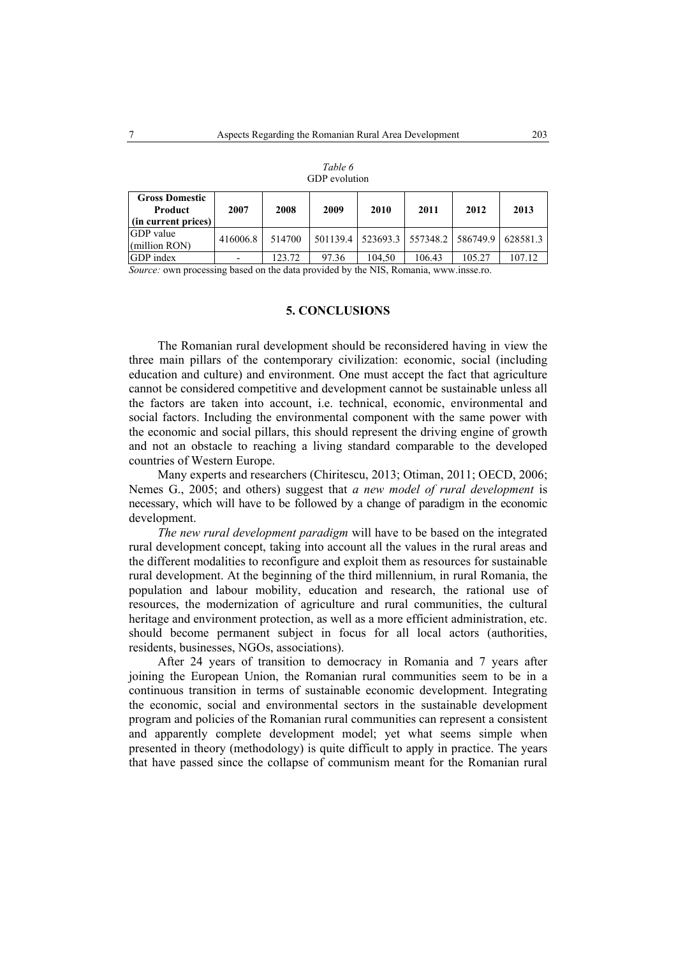| <b>Gross Domestic</b><br>Product<br>(in current prices) | 2007     | 2008   | 2009  | 2010   | 2011                                                 | 2012   | 2013   |
|---------------------------------------------------------|----------|--------|-------|--------|------------------------------------------------------|--------|--------|
| GDP value<br>$\sim$ (million RON)                       | 416006.8 | 514700 |       |        | 501139.4   523693.3   557348.2   586749.9   628581.3 |        |        |
| GDP index                                               |          | 123.72 | 97.36 | 104.50 | 106.43                                               | 105.27 | 107.12 |

| Table 6       |
|---------------|
| GDP evolution |

*Source:* own processing based on the data provided by the NIS, Romania, www.insse.ro.

# **5. CONCLUSIONS**

The Romanian rural development should be reconsidered having in view the three main pillars of the contemporary civilization: economic, social (including education and culture) and environment. One must accept the fact that agriculture cannot be considered competitive and development cannot be sustainable unless all the factors are taken into account, i.e. technical, economic, environmental and social factors. Including the environmental component with the same power with the economic and social pillars, this should represent the driving engine of growth and not an obstacle to reaching a living standard comparable to the developed countries of Western Europe.

Many experts and researchers (Chiritescu, 2013; Otiman, 2011; OECD, 2006; Nemes G., 2005; and others) suggest that *a new model of rural development* is necessary, which will have to be followed by a change of paradigm in the economic development.

*The new rural development paradigm* will have to be based on the integrated rural development concept, taking into account all the values in the rural areas and the different modalities to reconfigure and exploit them as resources for sustainable rural development. At the beginning of the third millennium, in rural Romania, the population and labour mobility, education and research, the rational use of resources, the modernization of agriculture and rural communities, the cultural heritage and environment protection, as well as a more efficient administration, etc. should become permanent subject in focus for all local actors (authorities, residents, businesses, NGOs, associations).

After 24 years of transition to democracy in Romania and 7 years after joining the European Union, the Romanian rural communities seem to be in a continuous transition in terms of sustainable economic development. Integrating the economic, social and environmental sectors in the sustainable development program and policies of the Romanian rural communities can represent a consistent and apparently complete development model; yet what seems simple when presented in theory (methodology) is quite difficult to apply in practice. The years that have passed since the collapse of communism meant for the Romanian rural